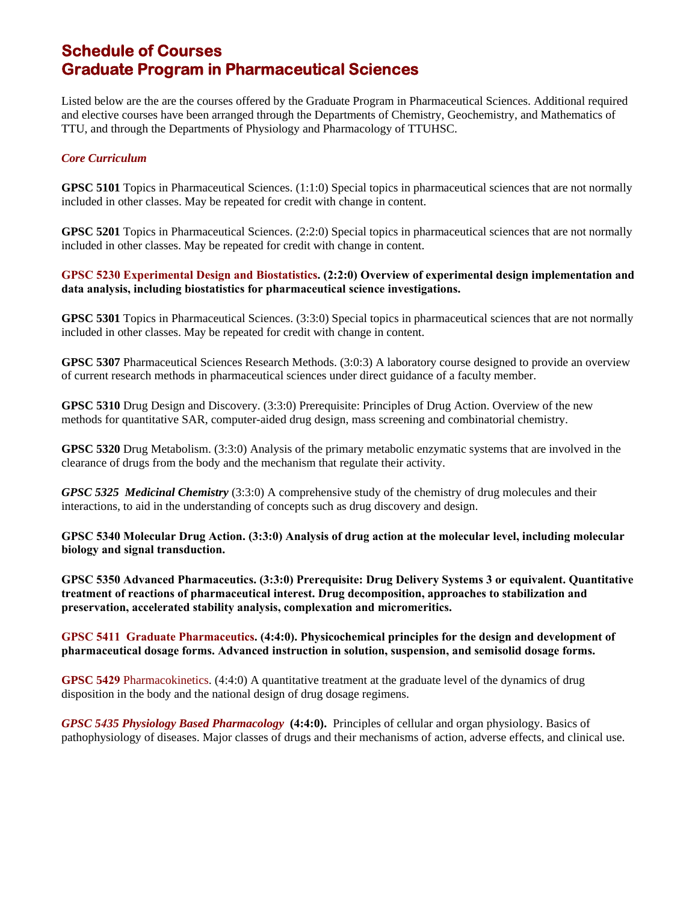## **Schedule of Courses Graduate Program in Pharmaceutical Sciences**

Listed below are the are the courses offered by the Graduate Program in Pharmaceutical Sciences. Additional required and elective courses have been arranged through the Departments of Chemistry, Geochemistry, and Mathematics of TTU, and through the Departments of Physiology and Pharmacology of TTUHSC.

## *Core Curriculum*

**GPSC 5101** Topics in Pharmaceutical Sciences. (1:1:0) Special topics in pharmaceutical sciences that are not normally included in other classes. May be repeated for credit with change in content.

**GPSC 5201** Topics in Pharmaceutical Sciences. (2:2:0) Special topics in pharmaceutical sciences that are not normally included in other classes. May be repeated for credit with change in content.

## **GPSC 5230 Experimental Design and Biostatistics. (2:2:0) Overview of experimental design implementation and data analysis, including biostatistics for pharmaceutical science investigations.**

**GPSC 5301** Topics in Pharmaceutical Sciences. (3:3:0) Special topics in pharmaceutical sciences that are not normally included in other classes. May be repeated for credit with change in content.

**GPSC 5307** Pharmaceutical Sciences Research Methods. (3:0:3) A laboratory course designed to provide an overview of current research methods in pharmaceutical sciences under direct guidance of a faculty member.

**GPSC 5310** Drug Design and Discovery. (3:3:0) Prerequisite: Principles of Drug Action. Overview of the new methods for quantitative SAR, computer-aided drug design, mass screening and combinatorial chemistry.

**GPSC 5320** Drug Metabolism. (3:3:0) Analysis of the primary metabolic enzymatic systems that are involved in the clearance of drugs from the body and the mechanism that regulate their activity.

*GPSC 5325 Medicinal Chemistry* (3:3:0) A comprehensive study of the chemistry of drug molecules and their interactions, to aid in the understanding of concepts such as drug discovery and design.

**GPSC 5340 Molecular Drug Action. (3:3:0) Analysis of drug action at the molecular level, including molecular biology and signal transduction.** 

**GPSC 5350 Advanced Pharmaceutics. (3:3:0) Prerequisite: Drug Delivery Systems 3 or equivalent. Quantitative treatment of reactions of pharmaceutical interest. Drug decomposition, approaches to stabilization and preservation, accelerated stability analysis, complexation and micromeritics.**

## **GPSC 5411 Graduate Pharmaceutics. (4:4:0). Physicochemical principles for the design and development of pharmaceutical dosage forms. Advanced instruction in solution, suspension, and semisolid dosage forms.**

**GPSC 5429** Pharmacokinetics. (4:4:0) A quantitative treatment at the graduate level of the dynamics of drug disposition in the body and the national design of drug dosage regimens.

*GPSC 5435 Physiology Based Pharmacology* **(4:4:0).** Principles of cellular and organ physiology. Basics of pathophysiology of diseases. Major classes of drugs and their mechanisms of action, adverse effects, and clinical use.